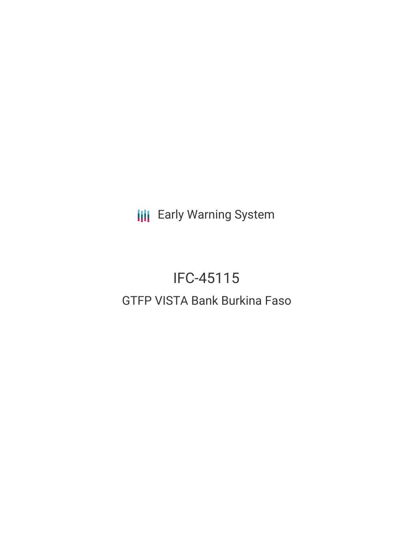**III** Early Warning System

# IFC-45115 GTFP VISTA Bank Burkina Faso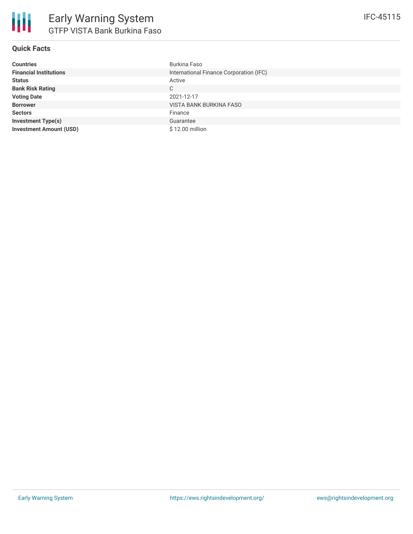### **Quick Facts**

| <b>Countries</b>               | Burkina Faso                            |
|--------------------------------|-----------------------------------------|
| <b>Financial Institutions</b>  | International Finance Corporation (IFC) |
| <b>Status</b>                  | Active                                  |
| <b>Bank Risk Rating</b>        | C                                       |
| <b>Voting Date</b>             | 2021-12-17                              |
| <b>Borrower</b>                | VISTA BANK BURKINA FASO                 |
| <b>Sectors</b>                 | Finance                                 |
| <b>Investment Type(s)</b>      | Guarantee                               |
| <b>Investment Amount (USD)</b> | \$12.00 million                         |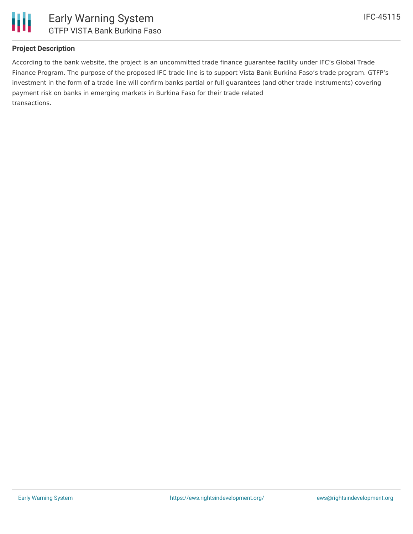

### **Project Description**

According to the bank website, the project is an uncommitted trade finance guarantee facility under IFC's Global Trade Finance Program. The purpose of the proposed IFC trade line is to support Vista Bank Burkina Faso's trade program. GTFP's investment in the form of a trade line will confirm banks partial or full guarantees (and other trade instruments) covering payment risk on banks in emerging markets in Burkina Faso for their trade related transactions.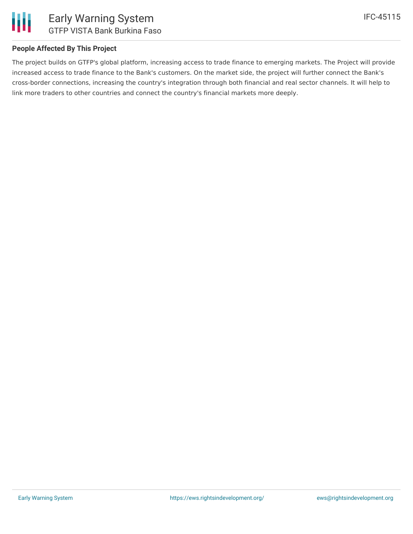

#### **People Affected By This Project**

The project builds on GTFP's global platform, increasing access to trade finance to emerging markets. The Project will provide increased access to trade finance to the Bank's customers. On the market side, the project will further connect the Bank's cross-border connections, increasing the country's integration through both financial and real sector channels. It will help to link more traders to other countries and connect the country's financial markets more deeply.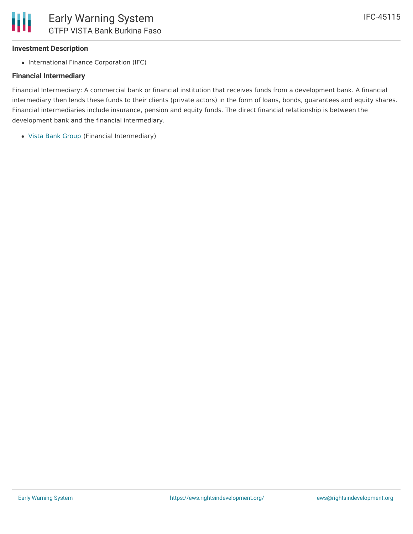### **Investment Description**

• International Finance Corporation (IFC)

### **Financial Intermediary**

Financial Intermediary: A commercial bank or financial institution that receives funds from a development bank. A financial intermediary then lends these funds to their clients (private actors) in the form of loans, bonds, guarantees and equity shares. Financial intermediaries include insurance, pension and equity funds. The direct financial relationship is between the development bank and the financial intermediary.

Vista Bank [Group](file:///actor/4135/) (Financial Intermediary)